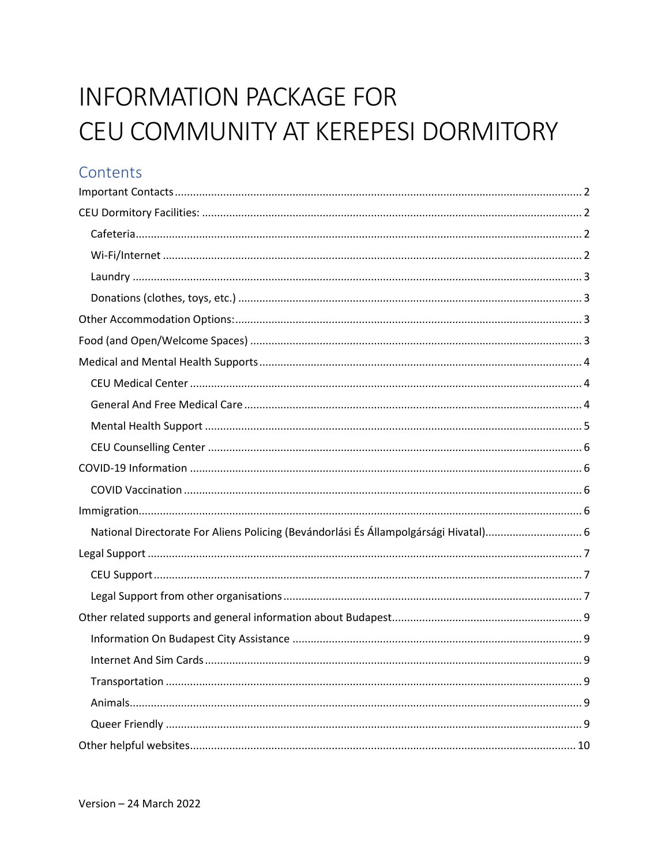# **INFORMATION PACKAGE FOR** CEU COMMUNITY AT KEREPESI DORMITORY

# Contents

| National Directorate For Aliens Policing (Bevándorlási És Állampolgársági Hivatal) 6 |
|--------------------------------------------------------------------------------------|
|                                                                                      |
|                                                                                      |
|                                                                                      |
|                                                                                      |
|                                                                                      |
|                                                                                      |
|                                                                                      |
|                                                                                      |
|                                                                                      |
|                                                                                      |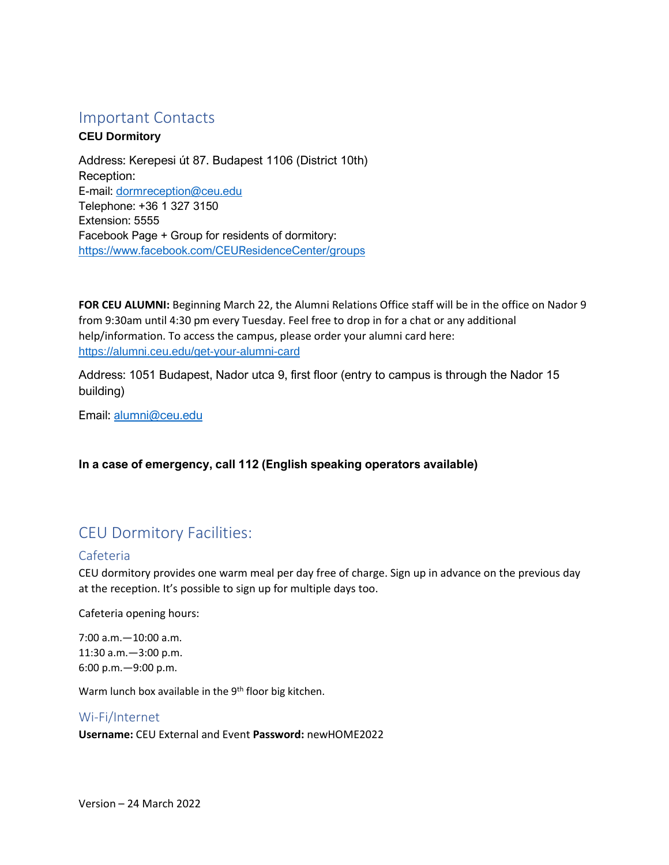## <span id="page-1-0"></span>Important Contacts

#### **CEU Dormitory**

Address: Kerepesi út 87. Budapest 1106 (District 10th) Reception: E-mail: [dormreception@ceu.edu](mailto:dormreception@ceu.edu) Telephone: +36 1 327 3150 Extension: 5555 Facebook Page + Group for residents of dormitory: <https://www.facebook.com/CEUResidenceCenter/groups>

**FOR CEU ALUMNI:** Beginning March 22, the Alumni Relations Office staff will be in the office on Nador 9 from 9:30am until 4:30 pm every Tuesday. Feel free to drop in for a chat or any additional help/information. To access the campus, please order your alumni card here: <https://alumni.ceu.edu/get-your-alumni-card>

Address: 1051 Budapest, Nador utca 9, first floor (entry to campus is through the Nador 15 building)

Email: [alumni@ceu.edu](mailto:alumni@ceu.edu)

#### **In a case of emergency, call 112 (English speaking operators available)**

# <span id="page-1-1"></span>CEU Dormitory Facilities:

#### <span id="page-1-2"></span>Cafeteria

CEU dormitory provides one warm meal per day free of charge. Sign up in advance on the previous day at the reception. It's possible to sign up for multiple days too.

Cafeteria opening hours:

7:00 a.m.—10:00 a.m. 11:30 a.m.—3:00 p.m. 6:00 p.m.—9:00 p.m.

Warm lunch box available in the 9<sup>th</sup> floor big kitchen.

## <span id="page-1-3"></span>Wi-Fi/Internet **Username:** CEU External and Event **Password:** newHOME2022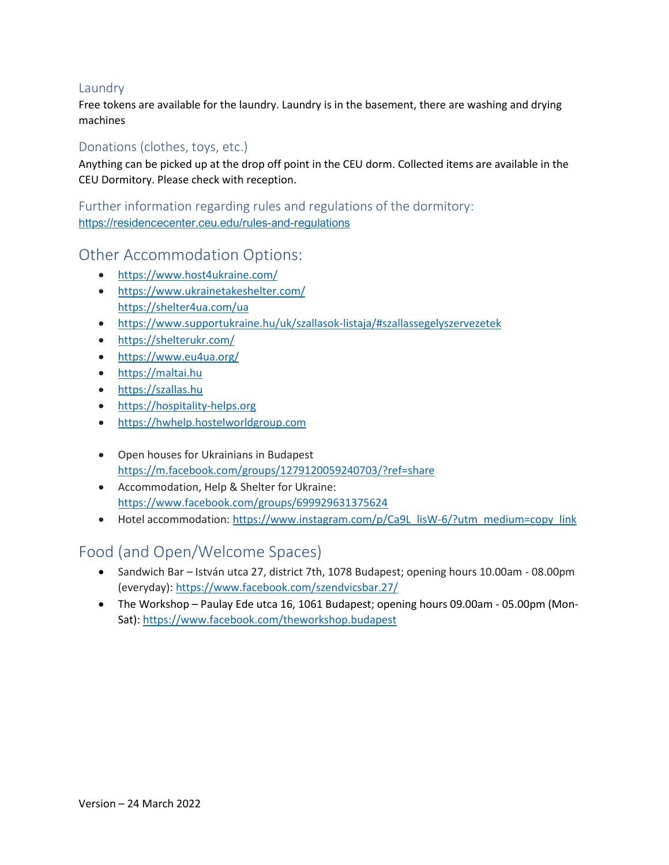#### <span id="page-2-0"></span>Laundry

Free tokens are available for the laundry. Laundry is in the basement, there are washing and drying machines

#### <span id="page-2-1"></span>Donations (clothes, toys, etc.)

Anything can be picked up at the drop off point in the CEU dorm. Collected items are available in the CEU Dormitory. Please check with reception.

Further information regarding rules and regulations of the dormitory: <https://residencecenter.ceu.edu/rules-and-regulations>

## <span id="page-2-2"></span>Other Accommodation Options:

- <https://www.host4ukraine.com/>
- <https://www.ukrainetakeshelter.com/> <https://shelter4ua.com/ua>
- <https://www.supportukraine.hu/uk/szallasok-listaja/#szallassegelyszervezetek>
- [https://shelterukr.com/](https://l.facebook.com/l.php?u=https%3A%2F%2Fshelterukr.com%2F%3Ffbclid%3DIwAR15YXNupbBZnhn_ZSGKha5f6dFqTo9NQ9_7miChM5AgzLA8_emKHF6sGs8&h=AT0op5JioqG5eCNM7rCdET9wvCaiXHnaTfnfmeUm3f9V4_2E1eEv4mxIIJQxqwk0Ao2iox3n0vek5fkNpp2jk-eYMKZ9CGUW4zwMmS08dp8k0Lu02BR33YZ9rKzfiFWyN_i77ks&__tn__=-UK-R&c%5b0%5d=AT0WXfyhqQqvXZL4TrI6JqxxHiztQveuOw1aPnTc2-tT9fJVxFJl7yBw9_jenz4z-TRh4E2anqUBthRMsWAJyHPymW--W5qbUzuca0c0wrcFIVCbetazDnRzOJFsuRK3f0DeGaeBYh96r3j6aZKY7DacFMuQ)
- [https://www.eu4ua.org/](https://www.eu4ua.org/?fbclid=IwAR2t61TN74Vm-BBu856lSnKeq0WPq6EfQbTtZiMkcyYtutiZKUS-kgPeX20)
- [https://maltai.hu](https://maltai.hu/)
- [https://szallas.hu](https://szallas.hu/)
- [https://hospitality-helps.org](https://hospitality-helps.org/)
- [https://hwhelp.hostelworldgroup.com](https://hwhelp.hostelworldgroup.com/)
- Open houses for Ukrainians in Budapest <https://m.facebook.com/groups/1279120059240703/?ref=share>
- Accommodation, Help & Shelter for Ukraine: <https://www.facebook.com/groups/699929631375624>
- Hotel accommodation: [https://www.instagram.com/p/Ca9L\\_lisW-6/?utm\\_medium=copy\\_link](https://www.instagram.com/p/Ca9L_lisW-6/?utm_medium=copy_link)

## <span id="page-2-3"></span>Food (and Open/Welcome Spaces)

- Sandwich Bar István utca 27, district 7th, 1078 Budapest; opening hours 10.00am 08.00pm (everyday):<https://www.facebook.com/szendvicsbar.27/>
- The Workshop Paulay Ede utca 16, 1061 Budapest; opening hours 09.00am 05.00pm (Mon-Sat):<https://www.facebook.com/theworkshop.budapest>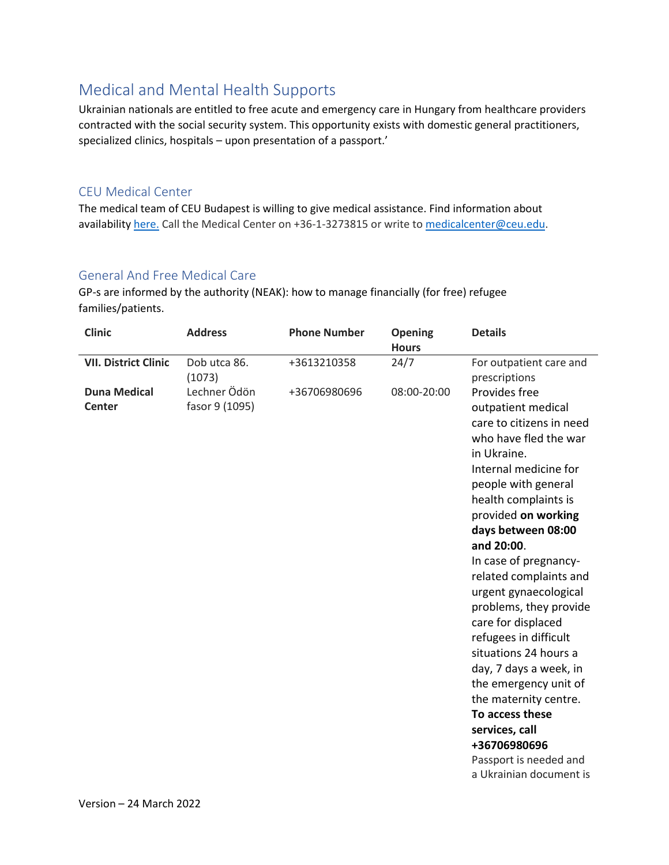# <span id="page-3-0"></span>Medical and Mental Health Supports

Ukrainian nationals are entitled to free acute and emergency care in Hungary from healthcare providers contracted with the social security system. This opportunity exists with domestic general practitioners, specialized clinics, hospitals – upon presentation of a passport.'

#### <span id="page-3-1"></span>CEU Medical Center

The medical team of CEU Budapest is willing to give medical assistance. Find information about availability [here.](https://www.ceu.edu/info-current-students/health-care/medical-services/center-hu) Call the Medical Center on +36-1-3273815 or write t[o medicalcenter@ceu.edu.](mailto:medicalcenter@ceu.edu)

#### <span id="page-3-2"></span>General And Free Medical Care

GP-s are informed by the authority (NEAK): how to manage financially (for free) refugee families/patients.

| <b>Clinic</b>                        | <b>Address</b>                 | <b>Phone Number</b> | <b>Opening</b><br><b>Hours</b> | <b>Details</b>                                                                                                                                                                                                                                                                                                                                                                                                                                                                                                                                                                                                 |
|--------------------------------------|--------------------------------|---------------------|--------------------------------|----------------------------------------------------------------------------------------------------------------------------------------------------------------------------------------------------------------------------------------------------------------------------------------------------------------------------------------------------------------------------------------------------------------------------------------------------------------------------------------------------------------------------------------------------------------------------------------------------------------|
| <b>VII. District Clinic</b>          | Dob utca 86.<br>(1073)         | +3613210358         | 24/7                           | For outpatient care and<br>prescriptions                                                                                                                                                                                                                                                                                                                                                                                                                                                                                                                                                                       |
| <b>Duna Medical</b><br><b>Center</b> | Lechner Ödön<br>fasor 9 (1095) | +36706980696        | 08:00-20:00                    | Provides free<br>outpatient medical<br>care to citizens in need<br>who have fled the war<br>in Ukraine.<br>Internal medicine for<br>people with general<br>health complaints is<br>provided on working<br>days between 08:00<br>and 20:00.<br>In case of pregnancy-<br>related complaints and<br>urgent gynaecological<br>problems, they provide<br>care for displaced<br>refugees in difficult<br>situations 24 hours a<br>day, 7 days a week, in<br>the emergency unit of<br>the maternity centre.<br>To access these<br>services, call<br>+36706980696<br>Passport is needed and<br>a Ukrainian document is |
|                                      |                                |                     |                                |                                                                                                                                                                                                                                                                                                                                                                                                                                                                                                                                                                                                                |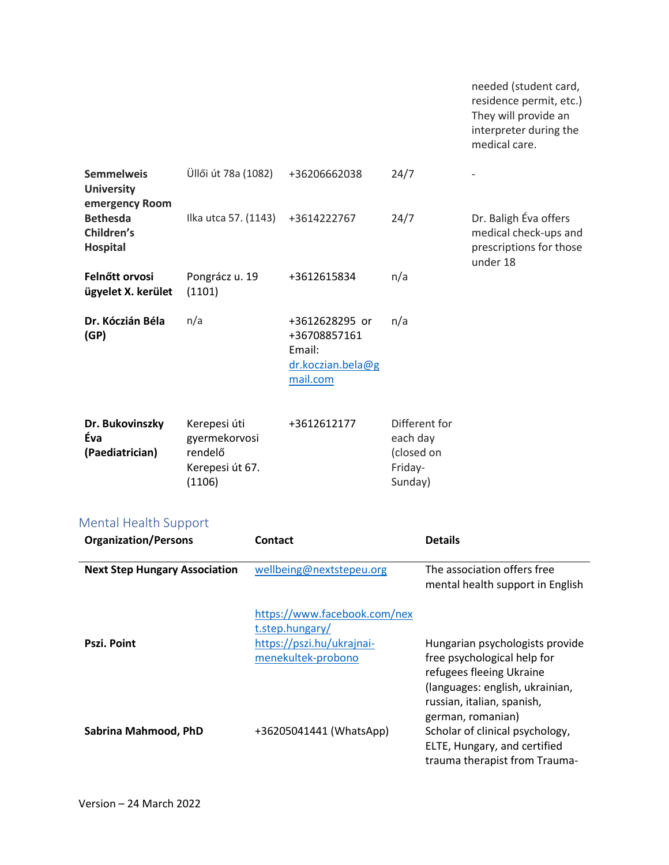<span id="page-4-0"></span>

|                                                                    |                                                                       |                                                                                                                                |                                                                           |                                                                                                                                                     |                                                                                                                               | needed (student card,<br>residence permit, etc.)<br>They will provide an<br>interpreter during the<br>medical care. |
|--------------------------------------------------------------------|-----------------------------------------------------------------------|--------------------------------------------------------------------------------------------------------------------------------|---------------------------------------------------------------------------|-----------------------------------------------------------------------------------------------------------------------------------------------------|-------------------------------------------------------------------------------------------------------------------------------|---------------------------------------------------------------------------------------------------------------------|
| <b>Semmelweis</b><br><b>University</b>                             | Üllői út 78a (1082)                                                   |                                                                                                                                | +36206662038                                                              | 24/7                                                                                                                                                |                                                                                                                               |                                                                                                                     |
| emergency Room<br><b>Bethesda</b><br>Children's<br><b>Hospital</b> | Ilka utca 57. (1143)                                                  |                                                                                                                                | +3614222767                                                               | 24/7                                                                                                                                                |                                                                                                                               | Dr. Baligh Éva offers<br>medical check-ups and<br>prescriptions for those<br>under 18                               |
| Felnőtt orvosi<br>ügyelet X. kerület                               | Pongrácz u. 19<br>(1101)                                              |                                                                                                                                | +3612615834                                                               | n/a                                                                                                                                                 |                                                                                                                               |                                                                                                                     |
| Dr. Kóczián Béla<br>(GP)                                           | n/a                                                                   |                                                                                                                                | +3612628295 or<br>+36708857161<br>Email:<br>dr.koczian.bela@g<br>mail.com | n/a                                                                                                                                                 |                                                                                                                               |                                                                                                                     |
| Dr. Bukovinszky<br>Éva<br>(Paediatrician)                          | Kerepesi úti<br>gyermekorvosi<br>rendelő<br>Kerepesi út 67.<br>(1106) |                                                                                                                                | +3612612177<br>each day<br>(closed on<br>Friday-<br>Sunday)               |                                                                                                                                                     | Different for                                                                                                                 |                                                                                                                     |
| <b>Mental Health Support</b><br><b>Organization/Persons</b>        |                                                                       | Contact                                                                                                                        |                                                                           | <b>Details</b>                                                                                                                                      |                                                                                                                               |                                                                                                                     |
| <b>Next Step Hungary Association</b><br><b>Pszi. Point</b>         |                                                                       | wellbeing@nextstepeu.org<br>https://www.facebook.com/nex<br>t.step.hungary/<br>https://pszi.hu/ukrajnai-<br>menekultek-probono |                                                                           | The association offers free<br>mental health support in English                                                                                     |                                                                                                                               |                                                                                                                     |
|                                                                    |                                                                       |                                                                                                                                |                                                                           |                                                                                                                                                     | Hungarian psychologists provide<br>free psychological help for<br>refugees fleeing Ukraine<br>(languages: english, ukrainian, |                                                                                                                     |
| Sabrina Mahmood, PhD                                               |                                                                       | +36205041441 (WhatsApp)                                                                                                        |                                                                           | russian, italian, spanish,<br>german, romanian)<br>Scholar of clinical psychology,<br>ELTE, Hungary, and certified<br>trauma therapist from Trauma- |                                                                                                                               |                                                                                                                     |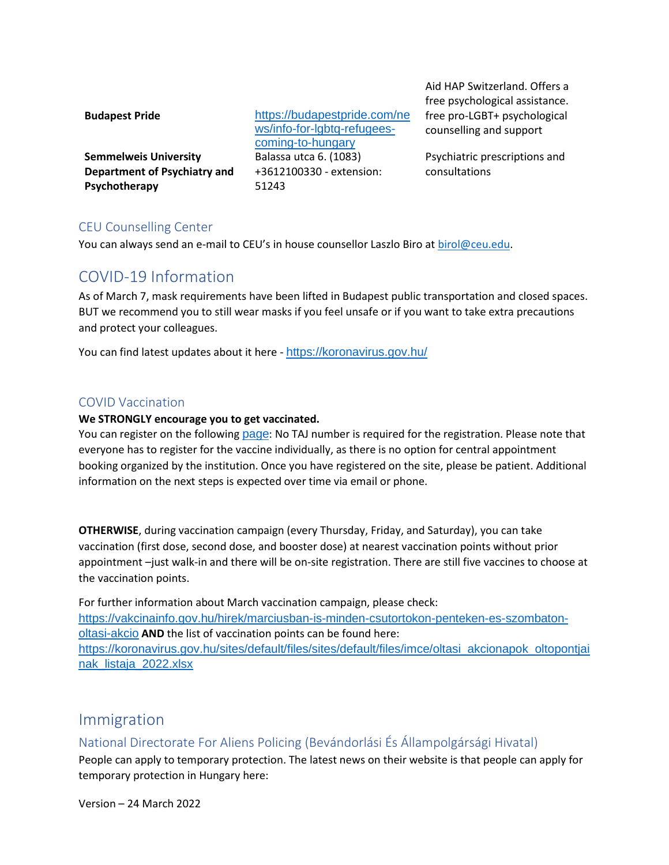| <b>Budapest Pride</b>        | https://budapestpride.com/ne |
|------------------------------|------------------------------|
|                              | ws/info-for-lgbtq-refugees-  |
|                              | coming-to-hungary            |
| <b>Semmelweis University</b> | Balassa utca 6. (1083)       |
| Department of Psychiatry and | +3612100330 - extension:     |
| Psychotherapy                | 51243                        |
|                              |                              |

Aid HAP Switzerland. Offers a free psychological assistance. free pro-LGBT+ psychological counselling and support

Psychiatric prescriptions and consultations

#### <span id="page-5-0"></span>CEU Counselling Center

You can always send an e-mail to CEU's in house counsellor Laszlo Biro at [birol@ceu.edu.](mailto:birol@ceu.edu)

## <span id="page-5-1"></span>COVID-19 Information

As of March 7, mask requirements have been lifted in Budapest public transportation and closed spaces. BUT we recommend you to still wear masks if you feel unsafe or if you want to take extra precautions and protect your colleagues.

You can find latest updates about it here - <https://koronavirus.gov.hu/>

#### <span id="page-5-2"></span>COVID Vaccination

#### **We STRONGLY encourage you to get vaccinated.**

You can register on the following [page](https://vakcinainfo.gov.hu/): No TAJ number is required for the registration. Please note that everyone has to register for the vaccine individually, as there is no option for central appointment booking organized by the institution. Once you have registered on the site, please be patient. Additional information on the next steps is expected over time via email or phone.

**OTHERWISE**, during vaccination campaign (every Thursday, Friday, and Saturday), you can take vaccination (first dose, second dose, and booster dose) at nearest vaccination points without prior appointment –just walk-in and there will be on-site registration. There are still five vaccines to choose at the vaccination points.

For further information about March vaccination campaign, please check: [https://vakcinainfo.gov.hu/hirek/marciusban-is-minden-csutortokon-penteken-es-szombaton](https://vakcinainfo.gov.hu/hirek/marciusban-is-minden-csutortokon-penteken-es-szombaton-oltasi-akcio)[oltasi-akcio](https://vakcinainfo.gov.hu/hirek/marciusban-is-minden-csutortokon-penteken-es-szombaton-oltasi-akcio) **AND** the list of vaccination points can be found here: [https://koronavirus.gov.hu/sites/default/files/sites/default/files/imce/oltasi\\_akcionapok\\_oltopontjai](https://koronavirus.gov.hu/sites/default/files/sites/default/files/imce/oltasi_akcionapok_oltopontjainak_listaja_2022.xlsx) [nak\\_listaja\\_2022.xlsx](https://koronavirus.gov.hu/sites/default/files/sites/default/files/imce/oltasi_akcionapok_oltopontjainak_listaja_2022.xlsx)

## <span id="page-5-3"></span>Immigration

<span id="page-5-4"></span>National Directorate For Aliens Policing (Bevándorlási És Állampolgársági Hivatal)

People can apply to temporary protection. The latest news on their website is that people can apply for temporary protection in Hungary here:

Version – 24 March 2022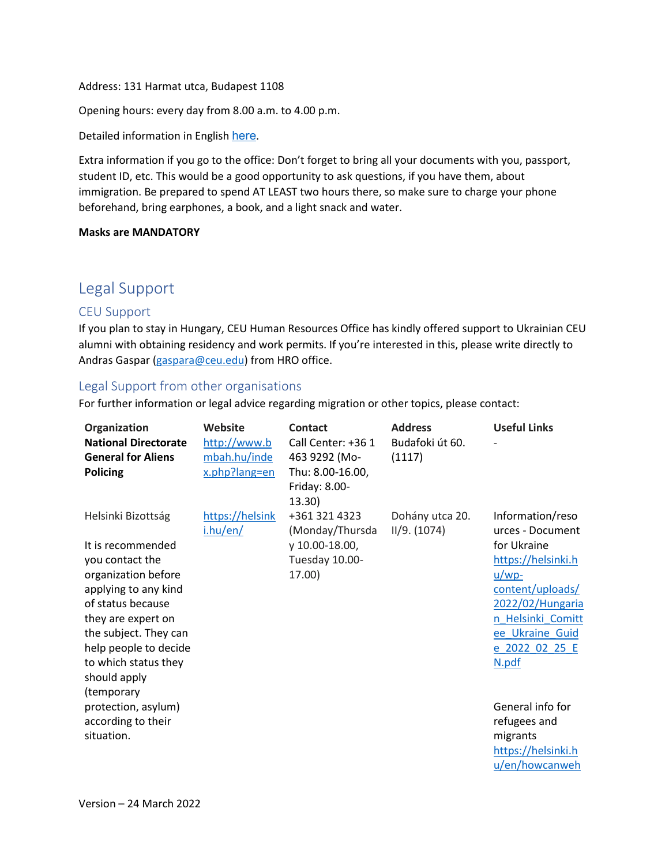#### Address: 131 Harmat utca, Budapest 1108

Opening hours: every day from 8.00 a.m. to 4.00 p.m.

Detailed information in English [here](http://oif.gov.hu/index.php?option=com_k2&view=item&id=1757:information&lang=en).

Extra information if you go to the office: Don't forget to bring all your documents with you, passport, student ID, etc. This would be a good opportunity to ask questions, if you have them, about immigration. Be prepared to spend AT LEAST two hours there, so make sure to charge your phone beforehand, bring earphones, a book, and a light snack and water.

#### **Masks are MANDATORY**

### <span id="page-6-0"></span>Legal Support

#### <span id="page-6-1"></span>CEU Support

If you plan to stay in Hungary, CEU Human Resources Office has kindly offered support to Ukrainian CEU alumni with obtaining residency and work permits. If you're interested in this, please write directly to Andras Gaspar [\(gaspara@ceu.edu\)](mailto:gaspara@ceu.edu) from HRO office.

#### <span id="page-6-2"></span>Legal Support from other organisations

For further information or legal advice regarding migration or other topics, please contact:

| Organization<br><b>National Directorate</b><br><b>General for Aliens</b><br><b>Policing</b> | Website<br>http://www.b<br>mbah.hu/inde<br>x.php?lang=en | Contact<br>Call Center: +36 1<br>463 9292 (Mo-<br>Thu: 8.00-16.00,<br>Friday: 8.00-<br>13.30) | <b>Address</b><br>Budafoki út 60.<br>(1117) | <b>Useful Links</b>                  |
|---------------------------------------------------------------------------------------------|----------------------------------------------------------|-----------------------------------------------------------------------------------------------|---------------------------------------------|--------------------------------------|
| Helsinki Bizottság                                                                          | https://helsink<br>i.hu/en/                              | +361 321 4323<br>(Monday/Thursda                                                              | Dohány utca 20.<br>II/9. (1074)             | Information/reso<br>urces - Document |
| It is recommended                                                                           |                                                          | y 10.00-18.00,                                                                                |                                             | for Ukraine                          |
| you contact the                                                                             |                                                          | Tuesday 10.00-                                                                                |                                             | https://helsinki.h                   |
| organization before                                                                         |                                                          | 17.00)                                                                                        |                                             | $u/wp-$                              |
| applying to any kind                                                                        |                                                          |                                                                                               |                                             | content/uploads/                     |
| of status because                                                                           |                                                          |                                                                                               |                                             | 2022/02/Hungaria                     |
| they are expert on                                                                          |                                                          |                                                                                               |                                             | n Helsinki Comitt                    |
| the subject. They can                                                                       |                                                          |                                                                                               |                                             | ee Ukraine Guid                      |
| help people to decide                                                                       |                                                          |                                                                                               |                                             | e 2022 02 25 E                       |
| to which status they                                                                        |                                                          |                                                                                               |                                             | N.pdf                                |
| should apply                                                                                |                                                          |                                                                                               |                                             |                                      |
| (temporary<br>protection, asylum)                                                           |                                                          |                                                                                               |                                             | General info for                     |
| according to their                                                                          |                                                          |                                                                                               |                                             | refugees and                         |
| situation.                                                                                  |                                                          |                                                                                               |                                             | migrants                             |
|                                                                                             |                                                          |                                                                                               |                                             | https://helsinki.h                   |
|                                                                                             |                                                          |                                                                                               |                                             | u/en/howcanweh                       |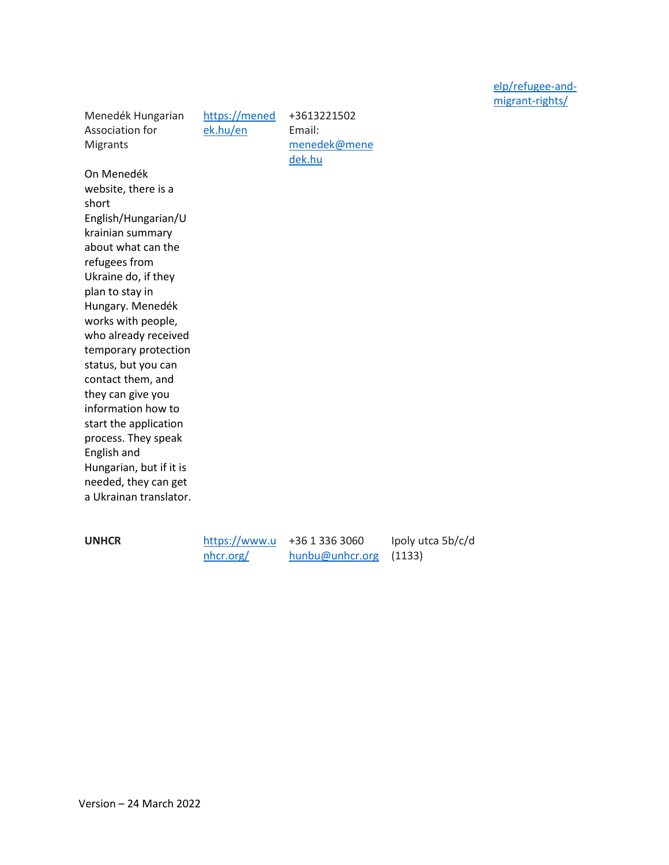[elp/refugee-and](https://helsinki.hu/en/howcanwehelp/refugee-and-migrant-rights/)[migrant-rights/](https://helsinki.hu/en/howcanwehelp/refugee-and-migrant-rights/)

Menedék Hungarian Association for Migrants

[https://mened](https://menedek.hu/en) [ek.hu/en](https://menedek.hu/en)

+3613221502 Email: [menedek@mene](mailto:menedek@menedek.hu) [dek.hu](mailto:menedek@menedek.hu)

On Menedék website, there is a short English/Hungarian/U krainian summary about what can the refugees from Ukraine do, if they plan to stay in Hungary. Menedék works with people, who already received temporary protection status, but you can contact them, and they can give you information how to start the application process. They speak English and Hungarian, but if it is needed, they can get a Ukrainan translator.

**UNHCR** [https://www.u](https://www.unhcr.org/) [nhcr.org/](https://www.unhcr.org/)

+36 1 336 3060 [hunbu@unhcr.org](mailto:hunbu@unhcr.org)

Ipoly utca 5b/c/d (1133)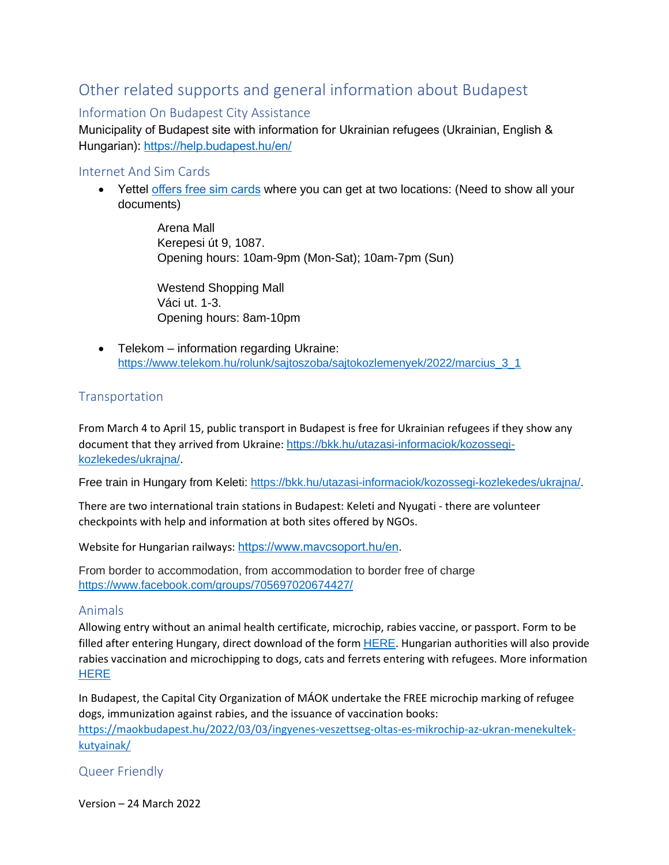# <span id="page-8-0"></span>Other related supports and general information about Budapest

#### <span id="page-8-1"></span>Information On Budapest City Assistance

Municipality of Budapest site with information for Ukrainian refugees (Ukrainian, English & Hungarian): [https://help.budapest.hu/en/](https://l.facebook.com/l.php?u=https%3A%2F%2Fhelp.budapest.hu%2Fen%2F%3Ffbclid%3DIwAR1dISqELR8yRabVzuczGMr3c8692zkAyns6vZIga3KlnsrPONY8Kn6A-sQ&h=AT0-9neAyr-AYg5-4rF-VBgggPqYoaxSfrYUxwZ_jUSrO2y_eGlsc_7QrTZksuq0jswXfRgZKQ4-YAQwxKL5buLs5HdXfN42L4QzUMyFHlwCuaFueDwtcngUtECUtk73ZQ&__tn__=-UK-R&c%5b0%5d=AT2DyQnuKeh0p16-IJpQR18T57jknEoSCxUKgyAa1Zb0xGuCYbWklpMBkoZonycacnVAA-OvJ4gXCbv_IQIYm-XgT7YLeoj-U-E1w2wxKJrfEe12gDClh38MFiQ75tUzvX42LnSe7hiUq9Z_Vao7zHo8zdkMVqSwp17pkKXU3xTPht6cZmedDCm9MxNfAEYPV2VLGq4j4u1S7vDV)

#### <span id="page-8-2"></span>Internet And Sim Cards

• Yettel [offers free sim cards](https://www.yettel.hu/sajto/kozlemeny/tobb-mint-40-ezer-feltoltott-sim-kartyat-1300-mobiltelefont-wifi-hotspotokat-es-egyeb-kommunikacios-eszkozoket-ajanl-fel-a-yettel-az-ukrajnabol-menekult-emberek-megsegitesere) where you can get at two locations: (Need to show all your documents)

> Arena Mall Kerepesi út 9, 1087. Opening hours: 10am-9pm (Mon-Sat); 10am-7pm (Sun)

Westend Shopping Mall Váci ut. 1-3. Opening hours: 8am-10pm

• Telekom – information regarding Ukraine: [https://www.telekom.hu/rolunk/sajtoszoba/sajtokozlemenyek/2022/marcius\\_3\\_1](https://www.telekom.hu/rolunk/sajtoszoba/sajtokozlemenyek/2022/marcius_3_1)

#### <span id="page-8-3"></span>**Transportation**

From March 4 to April 15, public transport in Budapest is free for Ukrainian refugees if they show any document that they arrived from Ukraine: [https://bkk.hu/utazasi-informaciok/kozossegi](https://bkk.hu/utazasi-informaciok/kozossegi-kozlekedes/ukrajna/)[kozlekedes/ukrajna/.](https://bkk.hu/utazasi-informaciok/kozossegi-kozlekedes/ukrajna/)

Free train in Hungary from Keleti: [https://bkk.hu/utazasi-informaciok/kozossegi-kozlekedes/ukrajna/.](https://bkk.hu/utazasi-informaciok/kozossegi-kozlekedes/ukrajna/)

There are two international train stations in Budapest: Keleti and Nyugati - there are volunteer checkpoints with help and information at both sites offered by NGOs.

Website for Hungarian railways: <https://www.mavcsoport.hu/en>.

From border to accommodation, from accommodation to border free of charge <https://www.facebook.com/groups/705697020674427/>

#### <span id="page-8-4"></span>Animals

Allowing entry without an animal health certificate, microchip, rabies vaccine, or passport. Form to be filled after entering Hungary, direct download of the form **[HERE](https://portal.nebih.gov.hu/documents/10182/51531346/Regisztracio+-+Ukrajna+-+Hun_Ukr.docx/bc62de2d-3a0d-592c-4afc-50fed42a2066?t=1645775725087)**. Hungarian authorities will also provide rabies vaccination and microchipping to dogs, cats and ferrets entering with refugees. More information **[HERE](https://portal.nebih.gov.hu/-/magyarorszag-biztositja-hogy-az-ukrajnabol-menekulok-magukkal-hozhassak-tarsallataikat?fbclid=IwAR12VYpkmvK2tKlYE6TYM1SsKFFQoW_mJccAn0WtrbOvddOTYC4uM3OBWSc)** 

In Budapest, the Capital City Organization of MÁOK undertake the FREE microchip marking of refugee dogs, immunization against rabies, and the issuance of vaccination books:

[https://maokbudapest.hu/2022/03/03/ingyenes-veszettseg-oltas-es-mikrochip-az-ukran-menekultek](https://maokbudapest.hu/2022/03/03/ingyenes-veszettseg-oltas-es-mikrochip-az-ukran-menekultek-kutyainak/)[kutyainak/](https://maokbudapest.hu/2022/03/03/ingyenes-veszettseg-oltas-es-mikrochip-az-ukran-menekultek-kutyainak/)

<span id="page-8-5"></span>Queer Friendly

Version – 24 March 2022